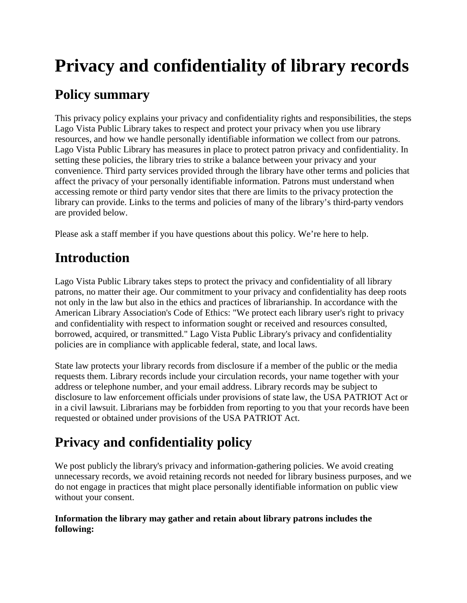# **Privacy and confidentiality of library records**

### **Policy summary**

This privacy policy explains your privacy and confidentiality rights and responsibilities, the steps Lago Vista Public Library takes to respect and protect your privacy when you use library resources, and how we handle personally identifiable information we collect from our patrons. Lago Vista Public Library has measures in place to protect patron privacy and confidentiality. In setting these policies, the library tries to strike a balance between your privacy and your convenience. Third party services provided through the library have other terms and policies that affect the privacy of your personally identifiable information. Patrons must understand when accessing remote or third party vendor sites that there are limits to the privacy protection the library can provide. Links to the terms and policies of many of the library's third-party vendors are provided below.

Please ask a staff member if you have questions about this policy. We're here to help.

### **Introduction**

Lago Vista Public Library takes steps to protect the privacy and confidentiality of all library patrons, no matter their age. Our commitment to your privacy and confidentiality has deep roots not only in the law but also in the ethics and practices of librarianship. In accordance with the American Library Association's Code of Ethics: "We protect each library user's right to privacy and confidentiality with respect to information sought or received and resources consulted, borrowed, acquired, or transmitted." Lago Vista Public Library's privacy and confidentiality policies are in compliance with applicable federal, state, and local laws.

State law protects your library records from disclosure if a member of the public or the media requests them. Library records include your circulation records, your name together with your address or telephone number, and your email address. Library records may be subject to disclosure to law enforcement officials under provisions of state law, the USA PATRIOT Act or in a civil lawsuit. Librarians may be forbidden from reporting to you that your records have been requested or obtained under provisions of the USA PATRIOT Act.

## **Privacy and confidentiality policy**

We post publicly the library's privacy and information-gathering policies. We avoid creating unnecessary records, we avoid retaining records not needed for library business purposes, and we do not engage in practices that might place personally identifiable information on public view without your consent.

#### **Information the library may gather and retain about library patrons includes the following:**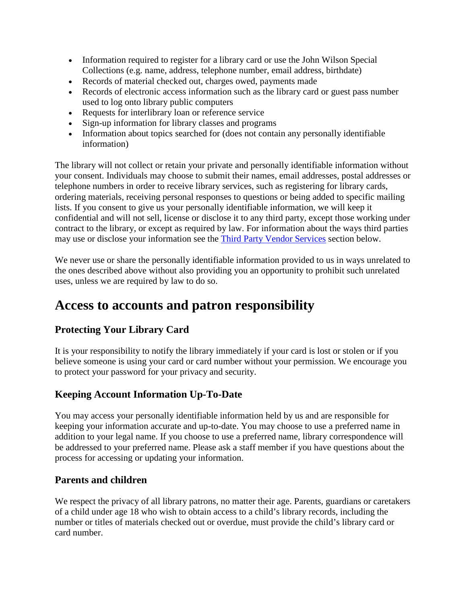- Information required to register for a library card or use the John Wilson Special Collections (e.g. name, address, telephone number, email address, birthdate)
- Records of material checked out, charges owed, payments made
- Records of electronic access information such as the library card or guest pass number used to log onto library public computers
- Requests for interlibrary loan or reference service
- Sign-up information for library classes and programs
- Information about topics searched for (does not contain any personally identifiable information)

The library will not collect or retain your private and personally identifiable information without your consent. Individuals may choose to submit their names, email addresses, postal addresses or telephone numbers in order to receive library services, such as registering for library cards, ordering materials, receiving personal responses to questions or being added to specific mailing lists. If you consent to give us your personally identifiable information, we will keep it confidential and will not sell, license or disclose it to any third party, except those working under contract to the library, or except as required by law. For information about the ways third parties may use or disclose your information see the [Third Party Vendor Services](https://multcolib.org/privacy-and-confidentiality-library-records#third) section below.

We never use or share the personally identifiable information provided to us in ways unrelated to the ones described above without also providing you an opportunity to prohibit such unrelated uses, unless we are required by law to do so.

### **Access to accounts and patron responsibility**

#### **Protecting Your Library Card**

It is your responsibility to notify the library immediately if your card is lost or stolen or if you believe someone is using your card or card number without your permission. We encourage you to protect your password for your privacy and security.

#### **Keeping Account Information Up-To-Date**

You may access your personally identifiable information held by us and are responsible for keeping your information accurate and up-to-date. You may choose to use a preferred name in addition to your legal name. If you choose to use a preferred name, library correspondence will be addressed to your preferred name. Please ask a staff member if you have questions about the process for accessing or updating your information.

#### **Parents and children**

We respect the privacy of all library patrons, no matter their age. Parents, guardians or caretakers of a child under age 18 who wish to obtain access to a child's library records, including the number or titles of materials checked out or overdue, must provide the child's library card or card number.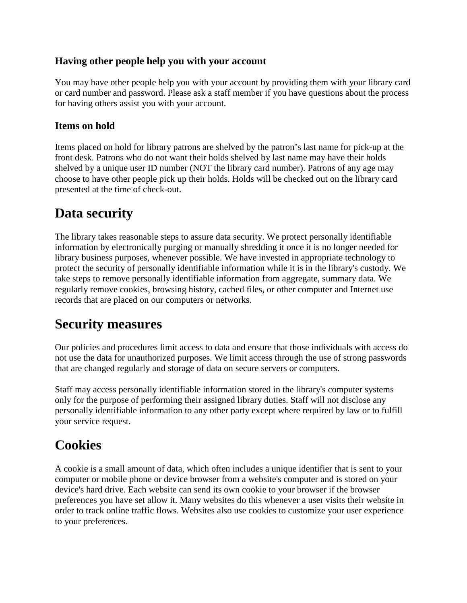#### **Having other people help you with your account**

You may have other people help you with your account by providing them with your library card or card number and password. Please ask a staff member if you have questions about the process for having others assist you with your account.

#### **Items on hold**

Items placed on hold for library patrons are shelved by the patron's last name for pick-up at the front desk. Patrons who do not want their holds shelved by last name may have their holds shelved by a unique user ID number (NOT the library card number). Patrons of any age may choose to have other people pick up their holds. Holds will be checked out on the library card presented at the time of check-out.

### **Data security**

The library takes reasonable steps to assure data security. We protect personally identifiable information by electronically purging or manually shredding it once it is no longer needed for library business purposes, whenever possible. We have invested in appropriate technology to protect the security of personally identifiable information while it is in the library's custody. We take steps to remove personally identifiable information from aggregate, summary data. We regularly remove cookies, browsing history, cached files, or other computer and Internet use records that are placed on our computers or networks.

### **Security measures**

Our policies and procedures limit access to data and ensure that those individuals with access do not use the data for unauthorized purposes. We limit access through the use of strong passwords that are changed regularly and storage of data on secure servers or computers.

Staff may access personally identifiable information stored in the library's computer systems only for the purpose of performing their assigned library duties. Staff will not disclose any personally identifiable information to any other party except where required by law or to fulfill your service request.

### **Cookies**

A cookie is a small amount of data, which often includes a unique identifier that is sent to your computer or mobile phone or device browser from a website's computer and is stored on your device's hard drive. Each website can send its own cookie to your browser if the browser preferences you have set allow it. Many websites do this whenever a user visits their website in order to track online traffic flows. Websites also use cookies to customize your user experience to your preferences.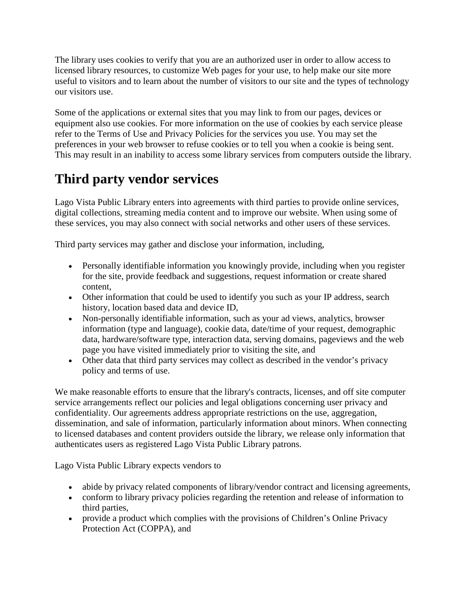The library uses cookies to verify that you are an authorized user in order to allow access to licensed library resources, to customize Web pages for your use, to help make our site more useful to visitors and to learn about the number of visitors to our site and the types of technology our visitors use.

Some of the applications or external sites that you may link to from our pages, devices or equipment also use cookies. For more information on the use of cookies by each service please refer to the Terms of Use and Privacy Policies for the services you use. You may set the preferences in your web browser to refuse cookies or to tell you when a cookie is being sent. This may result in an inability to access some library services from computers outside the library.

### **Third party vendor services**

Lago Vista Public Library enters into agreements with third parties to provide online services, digital collections, streaming media content and to improve our website. When using some of these services, you may also connect with social networks and other users of these services.

Third party services may gather and disclose your information, including,

- Personally identifiable information you knowingly provide, including when you register for the site, provide feedback and suggestions, request information or create shared content,
- Other information that could be used to identify you such as your IP address, search history, location based data and device ID,
- Non-personally identifiable information, such as your ad views, analytics, browser information (type and language), cookie data, date/time of your request, demographic data, hardware/software type, interaction data, serving domains, pageviews and the web page you have visited immediately prior to visiting the site, and
- Other data that third party services may collect as described in the vendor's privacy policy and terms of use.

We make reasonable efforts to ensure that the library's contracts, licenses, and off site computer service arrangements reflect our policies and legal obligations concerning user privacy and confidentiality. Our agreements address appropriate restrictions on the use, aggregation, dissemination, and sale of information, particularly information about minors. When connecting to licensed databases and content providers outside the library, we release only information that authenticates users as registered Lago Vista Public Library patrons.

Lago Vista Public Library expects vendors to

- abide by privacy related components of library/vendor contract and licensing agreements,
- conform to library privacy policies regarding the retention and release of information to third parties,
- provide a product which complies with the provisions of Children's Online Privacy Protection Act (COPPA), and